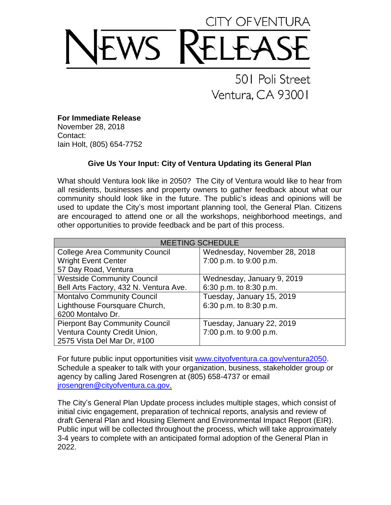## 501 Poli Street Ventura, CA 93001

**For Immediate Release**

November 28, 2018 Contact: Iain Holt, (805) 654-7752

## **Give Us Your Input: City of Ventura Updating its General Plan**

What should Ventura look like in 2050? The City of Ventura would like to hear from all residents, businesses and property owners to gather feedback about what our community should look like in the future. The public's ideas and opinions will be used to update the City's most important planning tool, the General Plan. Citizens are encouraged to attend one or all the workshops, neighborhood meetings, and other opportunities to provide feedback and be part of this process.

| <b>MEETING SCHEDULE</b>                |                              |
|----------------------------------------|------------------------------|
| <b>College Area Community Council</b>  | Wednesday, November 28, 2018 |
| <b>Wright Event Center</b>             | 7:00 p.m. to 9:00 p.m.       |
| 57 Day Road, Ventura                   |                              |
| <b>Westside Community Council</b>      | Wednesday, January 9, 2019   |
| Bell Arts Factory, 432 N. Ventura Ave. | 6:30 p.m. to 8:30 p.m.       |
| <b>Montalvo Community Council</b>      | Tuesday, January 15, 2019    |
| Lighthouse Foursquare Church,          | 6:30 p.m. to 8:30 p.m.       |
| 6200 Montalvo Dr.                      |                              |
| <b>Pierpont Bay Community Council</b>  | Tuesday, January 22, 2019    |
| Ventura County Credit Union,           | 7:00 p.m. to 9:00 p.m.       |
| 2575 Vista Del Mar Dr, #100            |                              |

For future public input opportunities visit [www.cityofventura.ca.gov/ventura2050.](http://www.cityofventura.ca.gov/ventura2050) Schedule a speaker to talk with your organization, business, stakeholder group or agency by calling Jared Rosengren at (805) 658-4737 or email [jrosengren@cityofventura.ca.gov.](mailto:jrosengren@cityofventura.ca.gov)

The City's General Plan Update process includes multiple stages, which consist of initial civic engagement, preparation of technical reports, analysis and review of draft General Plan and Housing Element and Environmental Impact Report (EIR). Public input will be collected throughout the process, which will take approximately 3-4 years to complete with an anticipated formal adoption of the General Plan in 2022.